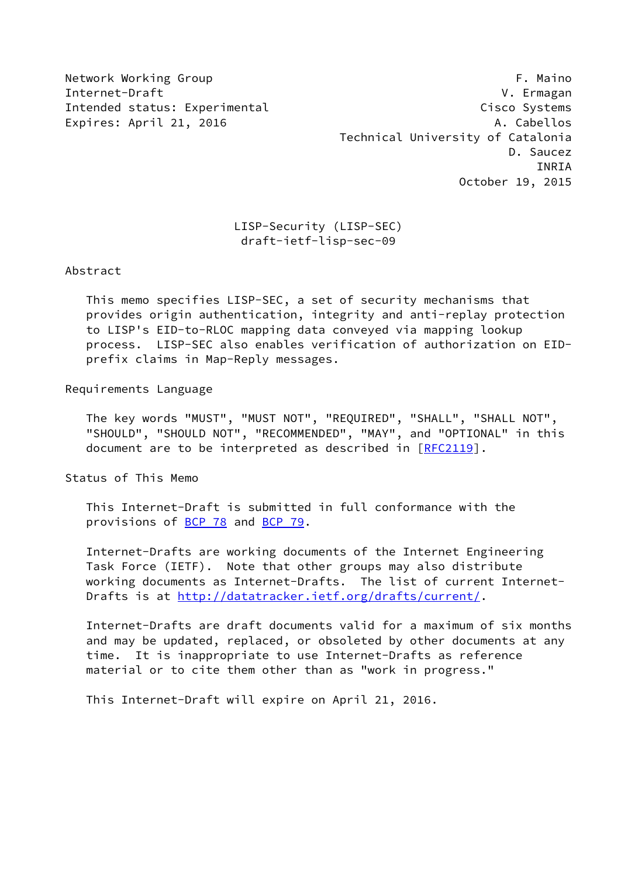Network Working Group **F. Maino** Internet-Draft V. Ermagan Intended status: Experimental Cisco Systems Expires: April 21, 2016 **A. Cabellos**  Technical University of Catalonia D. Saucez INRIA October 19, 2015

# LISP-Security (LISP-SEC) draft-ietf-lisp-sec-09

Abstract

 This memo specifies LISP-SEC, a set of security mechanisms that provides origin authentication, integrity and anti-replay protection to LISP's EID-to-RLOC mapping data conveyed via mapping lookup process. LISP-SEC also enables verification of authorization on EID prefix claims in Map-Reply messages.

Requirements Language

 The key words "MUST", "MUST NOT", "REQUIRED", "SHALL", "SHALL NOT", "SHOULD", "SHOULD NOT", "RECOMMENDED", "MAY", and "OPTIONAL" in this document are to be interpreted as described in [\[RFC2119](https://datatracker.ietf.org/doc/pdf/rfc2119)].

Status of This Memo

 This Internet-Draft is submitted in full conformance with the provisions of [BCP 78](https://datatracker.ietf.org/doc/pdf/bcp78) and [BCP 79](https://datatracker.ietf.org/doc/pdf/bcp79).

 Internet-Drafts are working documents of the Internet Engineering Task Force (IETF). Note that other groups may also distribute working documents as Internet-Drafts. The list of current Internet- Drafts is at<http://datatracker.ietf.org/drafts/current/>.

 Internet-Drafts are draft documents valid for a maximum of six months and may be updated, replaced, or obsoleted by other documents at any time. It is inappropriate to use Internet-Drafts as reference material or to cite them other than as "work in progress."

This Internet-Draft will expire on April 21, 2016.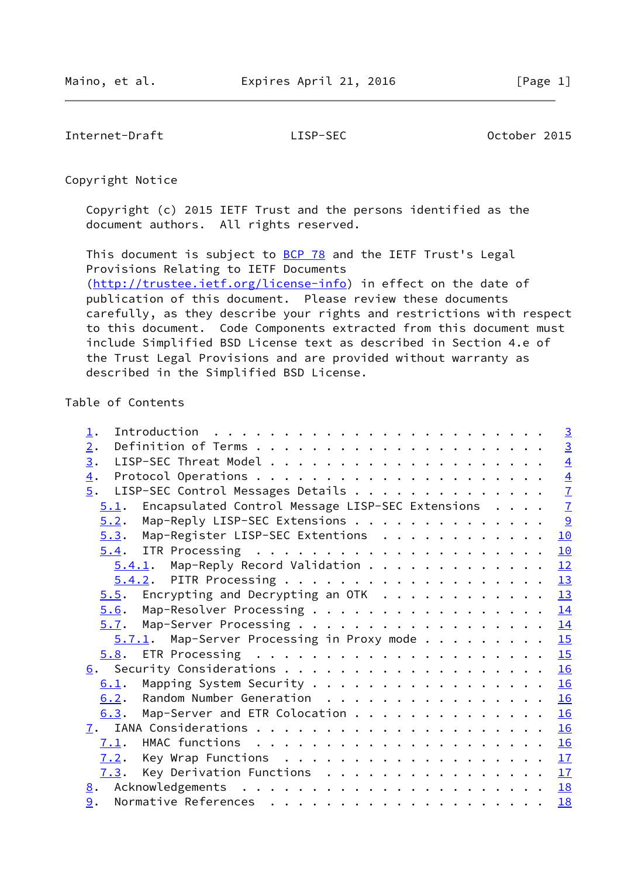Internet-Draft LISP-SEC October 2015

Copyright Notice

 Copyright (c) 2015 IETF Trust and the persons identified as the document authors. All rights reserved.

This document is subject to **[BCP 78](https://datatracker.ietf.org/doc/pdf/bcp78)** and the IETF Trust's Legal Provisions Relating to IETF Documents [\(http://trustee.ietf.org/license-info](http://trustee.ietf.org/license-info)) in effect on the date of publication of this document. Please review these documents carefully, as they describe your rights and restrictions with respect to this document. Code Components extracted from this document must include Simplified BSD License text as described in Section 4.e of the Trust Legal Provisions and are provided without warranty as described in the Simplified BSD License.

# Table of Contents

| $\perp$ .                                                          | $\overline{3}$              |
|--------------------------------------------------------------------|-----------------------------|
| 2.                                                                 | $\frac{3}{4}$ $\frac{4}{7}$ |
| 3.                                                                 |                             |
| $\overline{4}$ .                                                   |                             |
| 5.<br>LISP-SEC Control Messages Details                            |                             |
| Encapsulated Control Message LISP-SEC Extensions<br>5.1.           | $\overline{1}$              |
| Map-Reply LISP-SEC Extensions<br>5.2.                              | $\frac{9}{2}$               |
| Map-Register LISP-SEC Extentions<br>5.3.                           | 10                          |
| 5.4.                                                               | 10                          |
| $5.4.1$ . Map-Reply Record Validation                              | 12                          |
|                                                                    | 13                          |
| Encrypting and Decrypting an OTK $\dots \dots \dots \dots$<br>5.5. | 13                          |
| Map-Resolver Processing<br>5.6.                                    | 14                          |
| 5.7. Map-Server Processing 14                                      |                             |
| $5.7.1$ . Map-Server Processing in Proxy mode                      | 15                          |
|                                                                    |                             |
|                                                                    | 16                          |
| Mapping System Security<br>6.1.                                    | 16                          |
| Random Number Generation<br>6.2.                                   | 16                          |
| Map-Server and ETR Colocation<br>6.3.                              | 16                          |
| 7.                                                                 | 16                          |
| 7.1.                                                               | 16                          |
| 7.2.                                                               |                             |
| Key Derivation Functions<br>7.3.                                   | 17                          |
|                                                                    | 18                          |
| 9.                                                                 | 18                          |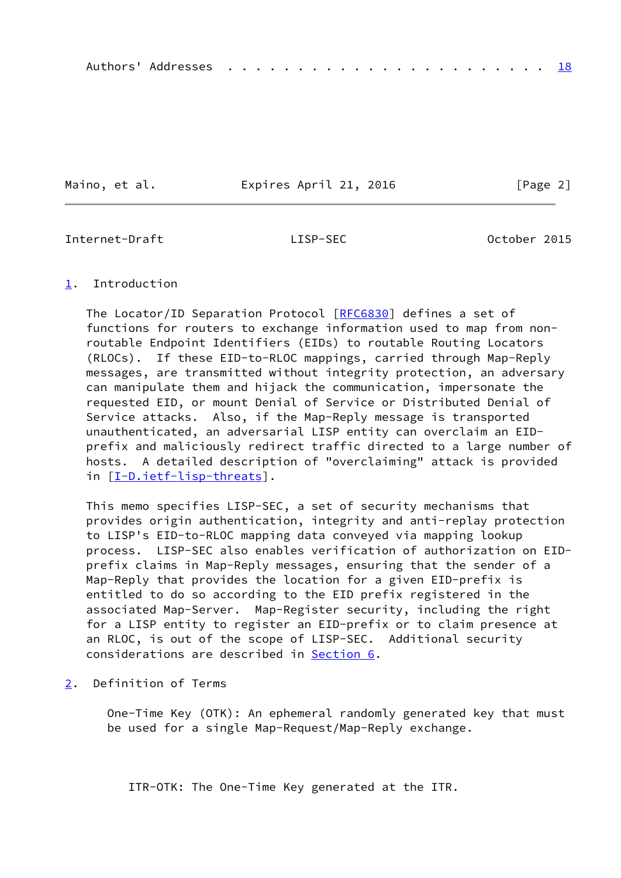Maino, et al. **Expires April 21, 2016** [Page 2]

<span id="page-2-1"></span>Internet-Draft LISP-SEC October 2015

### <span id="page-2-0"></span>[1](#page-2-0). Introduction

The Locator/ID Separation Protocol [[RFC6830\]](https://datatracker.ietf.org/doc/pdf/rfc6830) defines a set of functions for routers to exchange information used to map from non routable Endpoint Identifiers (EIDs) to routable Routing Locators (RLOCs). If these EID-to-RLOC mappings, carried through Map-Reply messages, are transmitted without integrity protection, an adversary can manipulate them and hijack the communication, impersonate the requested EID, or mount Denial of Service or Distributed Denial of Service attacks. Also, if the Map-Reply message is transported unauthenticated, an adversarial LISP entity can overclaim an EID prefix and maliciously redirect traffic directed to a large number of hosts. A detailed description of "overclaiming" attack is provided in [[I-D.ietf-lisp-threats\]](#page-19-3).

 This memo specifies LISP-SEC, a set of security mechanisms that provides origin authentication, integrity and anti-replay protection to LISP's EID-to-RLOC mapping data conveyed via mapping lookup process. LISP-SEC also enables verification of authorization on EID prefix claims in Map-Reply messages, ensuring that the sender of a Map-Reply that provides the location for a given EID-prefix is entitled to do so according to the EID prefix registered in the associated Map-Server. Map-Register security, including the right for a LISP entity to register an EID-prefix or to claim presence at an RLOC, is out of the scope of LISP-SEC. Additional security considerations are described in [Section 6](#page-17-0).

<span id="page-2-2"></span>[2](#page-2-2). Definition of Terms

 One-Time Key (OTK): An ephemeral randomly generated key that must be used for a single Map-Request/Map-Reply exchange.

ITR-OTK: The One-Time Key generated at the ITR.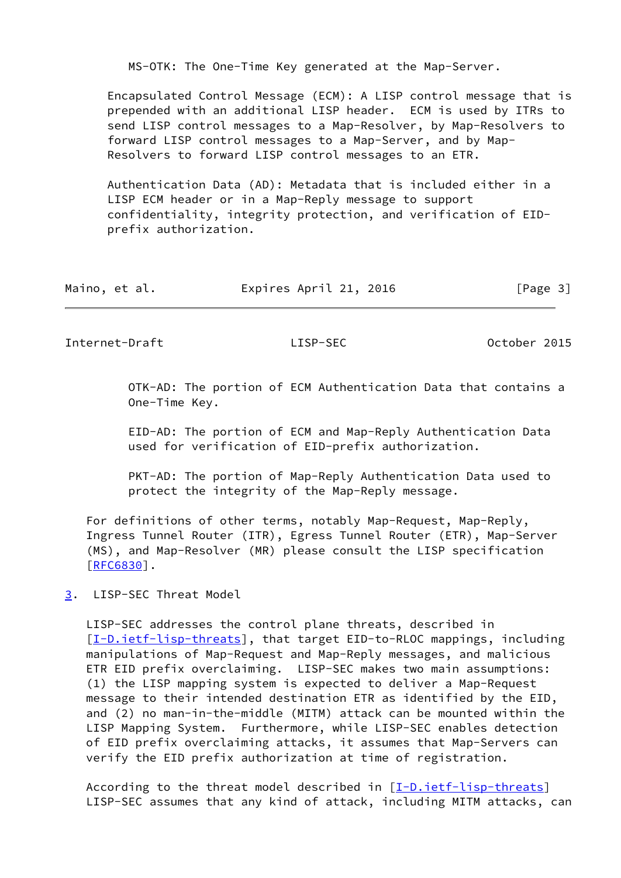MS-OTK: The One-Time Key generated at the Map-Server.

 Encapsulated Control Message (ECM): A LISP control message that is prepended with an additional LISP header. ECM is used by ITRs to send LISP control messages to a Map-Resolver, by Map-Resolvers to forward LISP control messages to a Map-Server, and by Map- Resolvers to forward LISP control messages to an ETR.

 Authentication Data (AD): Metadata that is included either in a LISP ECM header or in a Map-Reply message to support confidentiality, integrity protection, and verification of EID prefix authorization.

| Maino, et al. | Expires April 21, 2016 | [Page 3] |
|---------------|------------------------|----------|
|---------------|------------------------|----------|

<span id="page-3-1"></span>Internet-Draft LISP-SEC October 2015

 OTK-AD: The portion of ECM Authentication Data that contains a One-Time Key.

 EID-AD: The portion of ECM and Map-Reply Authentication Data used for verification of EID-prefix authorization.

 PKT-AD: The portion of Map-Reply Authentication Data used to protect the integrity of the Map-Reply message.

 For definitions of other terms, notably Map-Request, Map-Reply, Ingress Tunnel Router (ITR), Egress Tunnel Router (ETR), Map-Server (MS), and Map-Resolver (MR) please consult the LISP specification [\[RFC6830](https://datatracker.ietf.org/doc/pdf/rfc6830)].

<span id="page-3-0"></span>[3](#page-3-0). LISP-SEC Threat Model

 LISP-SEC addresses the control plane threats, described in [\[I-D.ietf-lisp-threats](#page-19-3)], that target EID-to-RLOC mappings, including manipulations of Map-Request and Map-Reply messages, and malicious ETR EID prefix overclaiming. LISP-SEC makes two main assumptions: (1) the LISP mapping system is expected to deliver a Map-Request message to their intended destination ETR as identified by the EID, and (2) no man-in-the-middle (MITM) attack can be mounted within the LISP Mapping System. Furthermore, while LISP-SEC enables detection of EID prefix overclaiming attacks, it assumes that Map-Servers can verify the EID prefix authorization at time of registration.

 According to the threat model described in [[I-D.ietf-lisp-threats\]](#page-19-3) LISP-SEC assumes that any kind of attack, including MITM attacks, can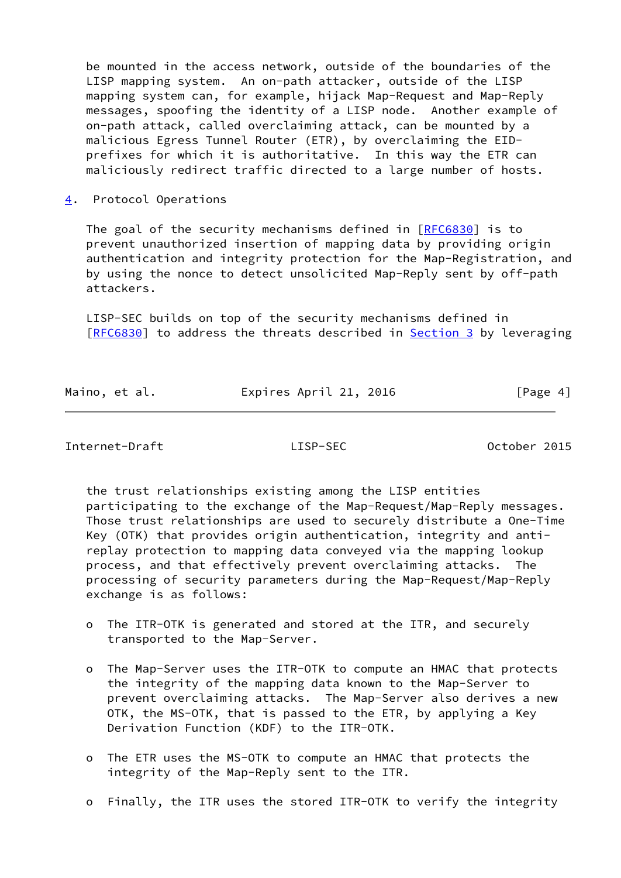be mounted in the access network, outside of the boundaries of the LISP mapping system. An on-path attacker, outside of the LISP mapping system can, for example, hijack Map-Request and Map-Reply messages, spoofing the identity of a LISP node. Another example of on-path attack, called overclaiming attack, can be mounted by a malicious Egress Tunnel Router (ETR), by overclaiming the EID prefixes for which it is authoritative. In this way the ETR can maliciously redirect traffic directed to a large number of hosts.

<span id="page-4-0"></span>[4](#page-4-0). Protocol Operations

The goal of the security mechanisms defined in  $[REC6830]$  is to prevent unauthorized insertion of mapping data by providing origin authentication and integrity protection for the Map-Registration, and by using the nonce to detect unsolicited Map-Reply sent by off-path attackers.

 LISP-SEC builds on top of the security mechanisms defined in [\[RFC6830](https://datatracker.ietf.org/doc/pdf/rfc6830)] to address the threats described in [Section 3](#page-3-0) by leveraging

| Maino, et al. | Expires April 21, 2016 | [Page 4] |
|---------------|------------------------|----------|
|               |                        |          |

Internet-Draft LISP-SEC October 2015

 the trust relationships existing among the LISP entities participating to the exchange of the Map-Request/Map-Reply messages. Those trust relationships are used to securely distribute a One-Time Key (OTK) that provides origin authentication, integrity and anti replay protection to mapping data conveyed via the mapping lookup process, and that effectively prevent overclaiming attacks. The processing of security parameters during the Map-Request/Map-Reply exchange is as follows:

- o The ITR-OTK is generated and stored at the ITR, and securely transported to the Map-Server.
- o The Map-Server uses the ITR-OTK to compute an HMAC that protects the integrity of the mapping data known to the Map-Server to prevent overclaiming attacks. The Map-Server also derives a new OTK, the MS-OTK, that is passed to the ETR, by applying a Key Derivation Function (KDF) to the ITR-OTK.
- o The ETR uses the MS-OTK to compute an HMAC that protects the integrity of the Map-Reply sent to the ITR.
- o Finally, the ITR uses the stored ITR-OTK to verify the integrity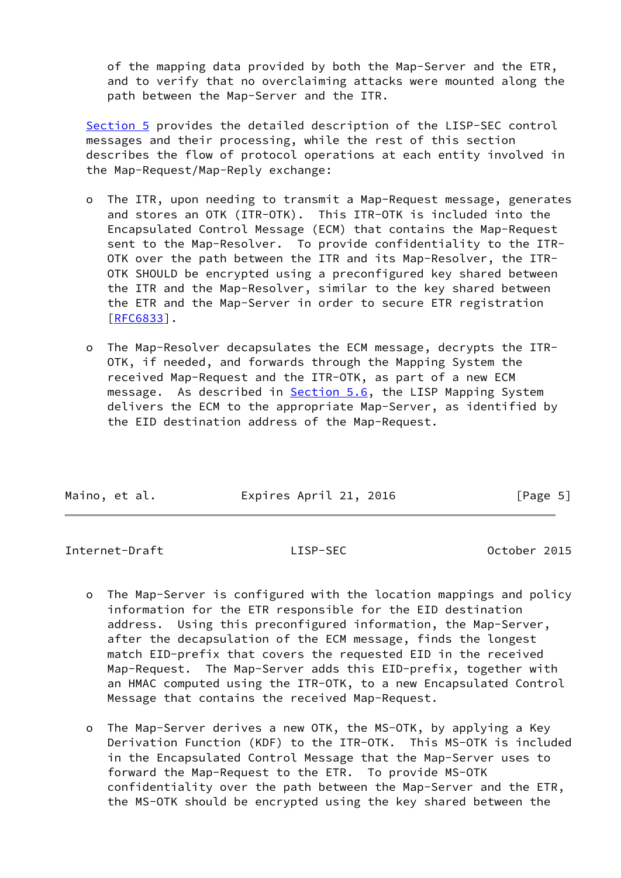of the mapping data provided by both the Map-Server and the ETR, and to verify that no overclaiming attacks were mounted along the path between the Map-Server and the ITR.

 [Section 5](#page-6-0) provides the detailed description of the LISP-SEC control messages and their processing, while the rest of this section describes the flow of protocol operations at each entity involved in the Map-Request/Map-Reply exchange:

- o The ITR, upon needing to transmit a Map-Request message, generates and stores an OTK (ITR-OTK). This ITR-OTK is included into the Encapsulated Control Message (ECM) that contains the Map-Request sent to the Map-Resolver. To provide confidentiality to the ITR- OTK over the path between the ITR and its Map-Resolver, the ITR- OTK SHOULD be encrypted using a preconfigured key shared between the ITR and the Map-Resolver, similar to the key shared between the ETR and the Map-Server in order to secure ETR registration [[RFC6833\]](https://datatracker.ietf.org/doc/pdf/rfc6833).
- o The Map-Resolver decapsulates the ECM message, decrypts the ITR- OTK, if needed, and forwards through the Mapping System the received Map-Request and the ITR-OTK, as part of a new ECM message. As described in **Section 5.6**, the LISP Mapping System delivers the ECM to the appropriate Map-Server, as identified by the EID destination address of the Map-Request.

Internet-Draft LISP-SEC October 2015

- o The Map-Server is configured with the location mappings and policy information for the ETR responsible for the EID destination address. Using this preconfigured information, the Map-Server, after the decapsulation of the ECM message, finds the longest match EID-prefix that covers the requested EID in the received Map-Request. The Map-Server adds this EID-prefix, together with an HMAC computed using the ITR-OTK, to a new Encapsulated Control Message that contains the received Map-Request.
- o The Map-Server derives a new OTK, the MS-OTK, by applying a Key Derivation Function (KDF) to the ITR-OTK. This MS-OTK is included in the Encapsulated Control Message that the Map-Server uses to forward the Map-Request to the ETR. To provide MS-OTK confidentiality over the path between the Map-Server and the ETR, the MS-OTK should be encrypted using the key shared between the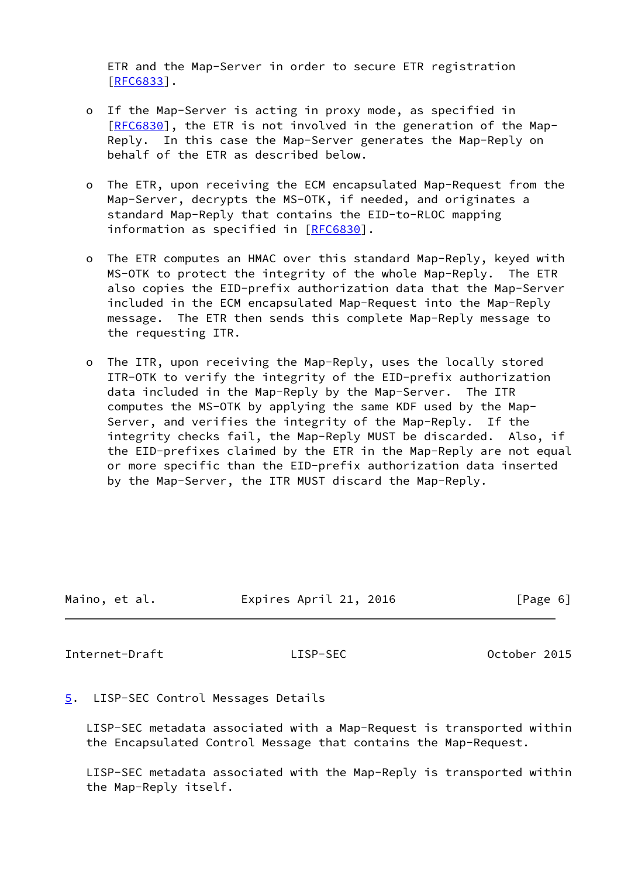ETR and the Map-Server in order to secure ETR registration [[RFC6833\]](https://datatracker.ietf.org/doc/pdf/rfc6833).

- o If the Map-Server is acting in proxy mode, as specified in [[RFC6830\]](https://datatracker.ietf.org/doc/pdf/rfc6830), the ETR is not involved in the generation of the Map- Reply. In this case the Map-Server generates the Map-Reply on behalf of the ETR as described below.
- o The ETR, upon receiving the ECM encapsulated Map-Request from the Map-Server, decrypts the MS-OTK, if needed, and originates a standard Map-Reply that contains the EID-to-RLOC mapping information as specified in [\[RFC6830](https://datatracker.ietf.org/doc/pdf/rfc6830)].
- o The ETR computes an HMAC over this standard Map-Reply, keyed with MS-OTK to protect the integrity of the whole Map-Reply. The ETR also copies the EID-prefix authorization data that the Map-Server included in the ECM encapsulated Map-Request into the Map-Reply message. The ETR then sends this complete Map-Reply message to the requesting ITR.
- o The ITR, upon receiving the Map-Reply, uses the locally stored ITR-OTK to verify the integrity of the EID-prefix authorization data included in the Map-Reply by the Map-Server. The ITR computes the MS-OTK by applying the same KDF used by the Map- Server, and verifies the integrity of the Map-Reply. If the integrity checks fail, the Map-Reply MUST be discarded. Also, if the EID-prefixes claimed by the ETR in the Map-Reply are not equal or more specific than the EID-prefix authorization data inserted by the Map-Server, the ITR MUST discard the Map-Reply.

| Maino, et al. | Expires April 21, 2016 | [Page 6] |
|---------------|------------------------|----------|
|               |                        |          |

<span id="page-6-1"></span>Internet-Draft LISP-SEC October 2015

# <span id="page-6-0"></span>[5](#page-6-0). LISP-SEC Control Messages Details

 LISP-SEC metadata associated with a Map-Request is transported within the Encapsulated Control Message that contains the Map-Request.

 LISP-SEC metadata associated with the Map-Reply is transported within the Map-Reply itself.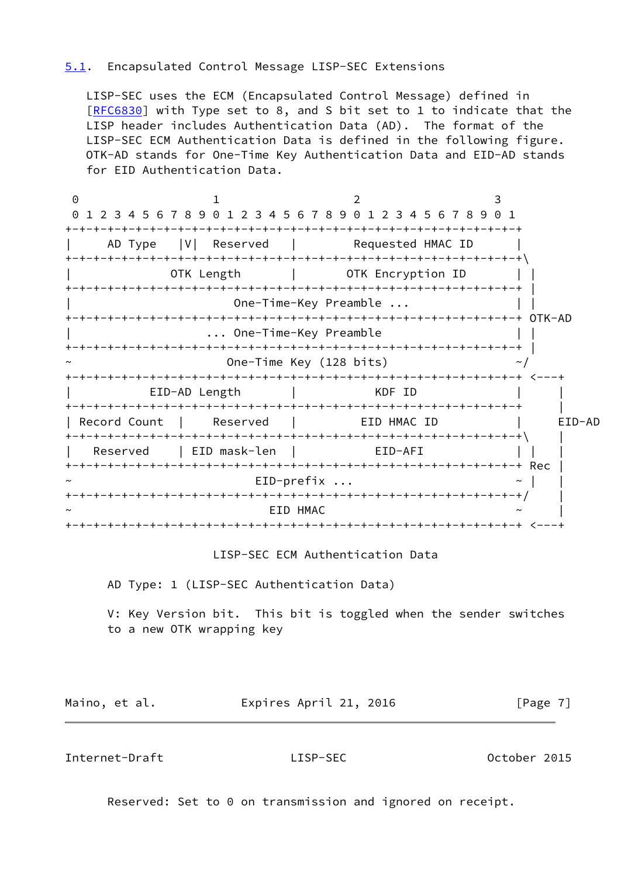# <span id="page-7-0"></span>[5.1](#page-7-0). Encapsulated Control Message LISP-SEC Extensions

 LISP-SEC uses the ECM (Encapsulated Control Message) defined in [\[RFC6830](https://datatracker.ietf.org/doc/pdf/rfc6830)] with Type set to 8, and S bit set to 1 to indicate that the LISP header includes Authentication Data (AD). The format of the LISP-SEC ECM Authentication Data is defined in the following figure. OTK-AD stands for One-Time Key Authentication Data and EID-AD stands for EID Authentication Data.

0 1 2 3 0 1 2 3 4 5 6 7 8 9 0 1 2 3 4 5 6 7 8 9 0 1 2 3 4 5 6 7 8 9 0 1 +-+-+-+-+-+-+-+-+-+-+-+-+-+-+-+-+-+-+-+-+-+-+-+-+-+-+-+-+-+-+-+-+ AD Type |V| Reserved | Requested HMAC ID +-+-+-+-+-+-+-+-+-+-+-+-+-+-+-+-+-+-+-+-+-+-+-+-+-+-+-+-+-+-+-+-+\ OTK Length | OTK Encryption ID | | +-+-+-+-+-+-+-+-+-+-+-+-+-+-+-+-+-+-+-+-+-+-+-+-+-+-+-+-+-+-+-+-+ | One-Time-Key Preamble ... +-+-+-+-+-+-+-+-+-+-+-+-+-+-+-+-+-+-+-+-+-+-+-+-+-+-+-+-+-+-+-+-+ OTK-AD | ... One-Time-Key Preamble | | +-+-+-+-+-+-+-+-+-+-+-+-+-+-+-+-+-+-+-+-+-+-+-+-+-+-+-+-+-+-+-+-+ | One-Time Key (128 bits)  $\sim$ / +-+-+-+-+-+-+-+-+-+-+-+-+-+-+-+-+-+-+-+-+-+-+-+-+-+-+-+-+-+-+-+-+ <---+ EID-AD Length | KDF ID +-+-+-+-+-+-+-+-+-+-+-+-+-+-+-+-+-+-+-+-+-+-+-+-+-+-+-+-+-+-+-+-+ | | Record Count | Reserved | EID HMAC ID | EID-AD +-+-+-+-+-+-+-+-+-+-+-+-+-+-+-+-+-+-+-+-+-+-+-+-+-+-+-+-+-+-+-+-+\ | Reserved | EID mask-len | EID-AFI | | +-+-+-+-+-+-+-+-+-+-+-+-+-+-+-+-+-+-+-+-+-+-+-+-+-+-+-+-+-+-+-+-+ Rec |  $EID-prefix$  ...  $\sim$  | +-+-+-+-+-+-+-+-+-+-+-+-+-+-+-+-+-+-+-+-+-+-+-+-+-+-+-+-+-+-+-+-+/ |  $\sim$   $\sim$   $\sim$   $\sim$   $\sim$   $\sim$   $\sim$ +-+-+-+-+-+-+-+-+-+-+-+-+-+-+-+-+-+-+-+-+-+-+-+-+-+-+-+-+-+-+-+-+ <---+

LISP-SEC ECM Authentication Data

AD Type: 1 (LISP-SEC Authentication Data)

 V: Key Version bit. This bit is toggled when the sender switches to a new OTK wrapping key

Maino, et al. **Expires April 21, 2016** [Page 7]

Internet-Draft LISP-SEC October 2015

Reserved: Set to 0 on transmission and ignored on receipt.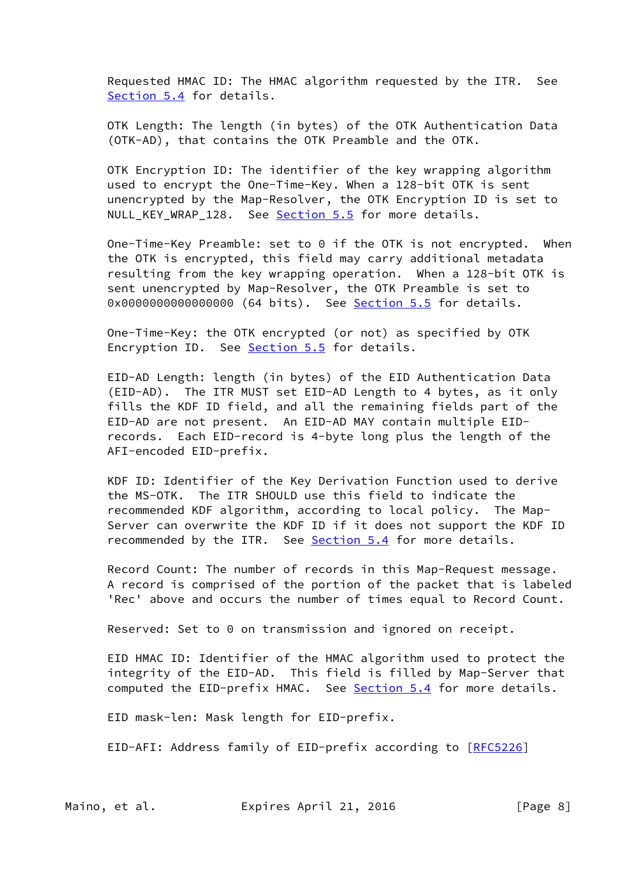Requested HMAC ID: The HMAC algorithm requested by the ITR. See [Section 5.4](#page-11-0) for details.

 OTK Length: The length (in bytes) of the OTK Authentication Data (OTK-AD), that contains the OTK Preamble and the OTK.

 OTK Encryption ID: The identifier of the key wrapping algorithm used to encrypt the One-Time-Key. When a 128-bit OTK is sent unencrypted by the Map-Resolver, the OTK Encryption ID is set to NULL\_KEY\_WRAP\_128. See [Section 5.5](#page-14-1) for more details.

 One-Time-Key Preamble: set to 0 if the OTK is not encrypted. When the OTK is encrypted, this field may carry additional metadata resulting from the key wrapping operation. When a 128-bit OTK is sent unencrypted by Map-Resolver, the OTK Preamble is set to 0x0000000000000000 (64 bits). See **Section 5.5** for details.

 One-Time-Key: the OTK encrypted (or not) as specified by OTK Encryption ID. See [Section 5.5](#page-14-1) for details.

 EID-AD Length: length (in bytes) of the EID Authentication Data (EID-AD). The ITR MUST set EID-AD Length to 4 bytes, as it only fills the KDF ID field, and all the remaining fields part of the EID-AD are not present. An EID-AD MAY contain multiple EID records. Each EID-record is 4-byte long plus the length of the AFI-encoded EID-prefix.

 KDF ID: Identifier of the Key Derivation Function used to derive the MS-OTK. The ITR SHOULD use this field to indicate the recommended KDF algorithm, according to local policy. The Map- Server can overwrite the KDF ID if it does not support the KDF ID recommended by the ITR. See [Section 5.4](#page-11-0) for more details.

 Record Count: The number of records in this Map-Request message. A record is comprised of the portion of the packet that is labeled 'Rec' above and occurs the number of times equal to Record Count.

Reserved: Set to 0 on transmission and ignored on receipt.

 EID HMAC ID: Identifier of the HMAC algorithm used to protect the integrity of the EID-AD. This field is filled by Map-Server that computed the EID-prefix HMAC. See [Section 5.4](#page-11-0) for more details.

EID mask-len: Mask length for EID-prefix.

EID-AFI: Address family of EID-prefix according to [[RFC5226](https://datatracker.ietf.org/doc/pdf/rfc5226)]

Maino, et al. Expires April 21, 2016 [Page 8]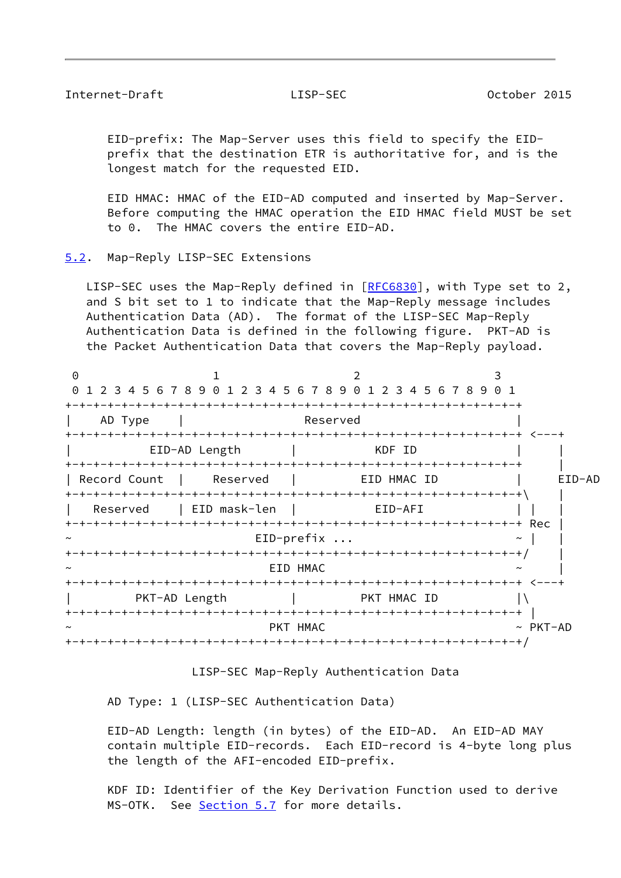### <span id="page-9-1"></span>Internet-Draft LISP-SEC October 2015

 EID-prefix: The Map-Server uses this field to specify the EID prefix that the destination ETR is authoritative for, and is the longest match for the requested EID.

 EID HMAC: HMAC of the EID-AD computed and inserted by Map-Server. Before computing the HMAC operation the EID HMAC field MUST be set to 0. The HMAC covers the entire EID-AD.

<span id="page-9-0"></span>[5.2](#page-9-0). Map-Reply LISP-SEC Extensions

LISP-SEC uses the Map-Reply defined in [\[RFC6830](https://datatracker.ietf.org/doc/pdf/rfc6830)], with Type set to 2, and S bit set to 1 to indicate that the Map-Reply message includes Authentication Data (AD). The format of the LISP-SEC Map-Reply Authentication Data is defined in the following figure. PKT-AD is the Packet Authentication Data that covers the Map-Reply payload.

| $\Theta$     |               | 0 1 2 3 4 5 6 7 8 9 0 1 2 3 4 5 6 7 8 9 0 1 2 3 4 5 6 7 8 9 0 1 |                |
|--------------|---------------|-----------------------------------------------------------------|----------------|
| AD Type      |               | Reserved                                                        |                |
|              | EID-AD Length | KDF ID                                                          |                |
| Record Count | Reserved      | EID HMAC ID                                                     | EID-AD         |
| Reserved     | EID mask-len  | EID-AFI                                                         |                |
|              |               | $EID-prefix$                                                    |                |
| $\tilde{}$   |               | EID HMAC                                                        |                |
|              | PKT-AD Length | <b>EXAMPLE THE PRIMARY OF PRIMARY SET</b>                       |                |
|              |               | PKT HMAC                                                        | $~\sim$ PKT-AD |
|              |               |                                                                 |                |

LISP-SEC Map-Reply Authentication Data

AD Type: 1 (LISP-SEC Authentication Data)

 EID-AD Length: length (in bytes) of the EID-AD. An EID-AD MAY contain multiple EID-records. Each EID-record is 4-byte long plus the length of the AFI-encoded EID-prefix.

 KDF ID: Identifier of the Key Derivation Function used to derive MS-OTK. See [Section 5.7](#page-15-0) for more details.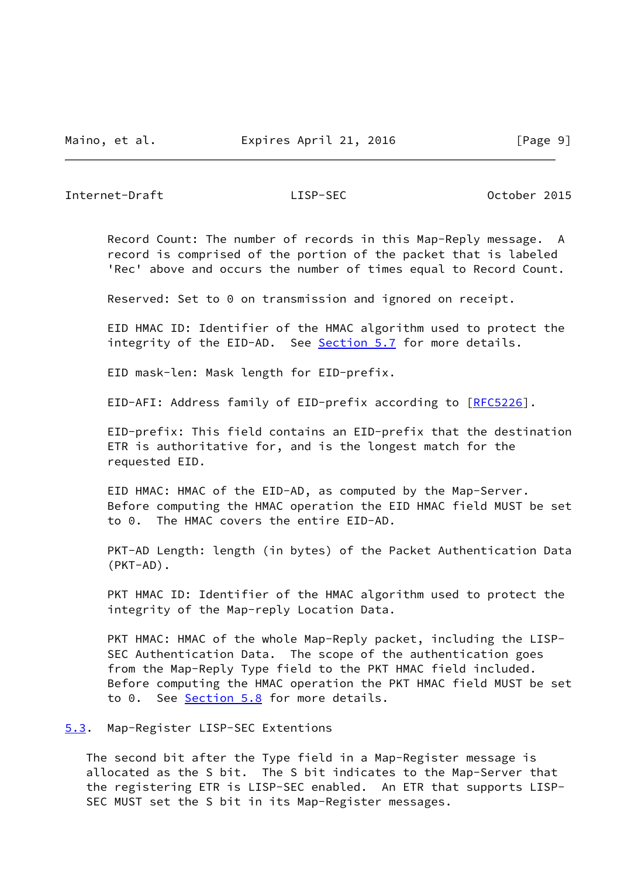<span id="page-10-1"></span>Internet-Draft LISP-SEC October 2015

 Record Count: The number of records in this Map-Reply message. A record is comprised of the portion of the packet that is labeled 'Rec' above and occurs the number of times equal to Record Count.

Reserved: Set to 0 on transmission and ignored on receipt.

 EID HMAC ID: Identifier of the HMAC algorithm used to protect the integrity of the EID-AD. See [Section 5.7](#page-15-0) for more details.

EID mask-len: Mask length for EID-prefix.

EID-AFI: Address family of EID-prefix according to [[RFC5226](https://datatracker.ietf.org/doc/pdf/rfc5226)].

 EID-prefix: This field contains an EID-prefix that the destination ETR is authoritative for, and is the longest match for the requested EID.

 EID HMAC: HMAC of the EID-AD, as computed by the Map-Server. Before computing the HMAC operation the EID HMAC field MUST be set to 0. The HMAC covers the entire EID-AD.

 PKT-AD Length: length (in bytes) of the Packet Authentication Data (PKT-AD).

PKT HMAC ID: Identifier of the HMAC algorithm used to protect the integrity of the Map-reply Location Data.

 PKT HMAC: HMAC of the whole Map-Reply packet, including the LISP- SEC Authentication Data. The scope of the authentication goes from the Map-Reply Type field to the PKT HMAC field included. Before computing the HMAC operation the PKT HMAC field MUST be set to 0. See [Section 5.8](#page-16-1) for more details.

<span id="page-10-0"></span>[5.3](#page-10-0). Map-Register LISP-SEC Extentions

 The second bit after the Type field in a Map-Register message is allocated as the S bit. The S bit indicates to the Map-Server that the registering ETR is LISP-SEC enabled. An ETR that supports LISP- SEC MUST set the S bit in its Map-Register messages.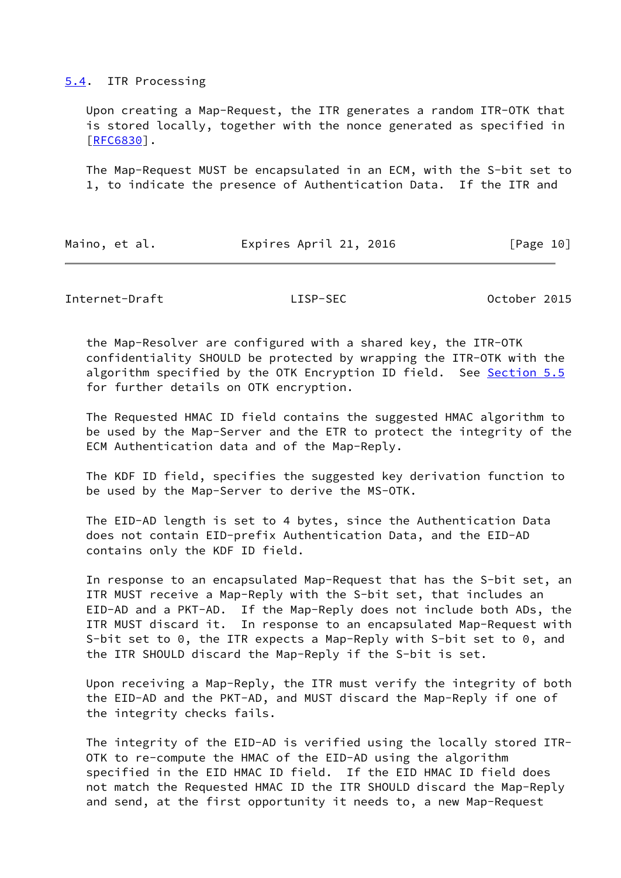### <span id="page-11-0"></span>[5.4](#page-11-0). ITR Processing

 Upon creating a Map-Request, the ITR generates a random ITR-OTK that is stored locally, together with the nonce generated as specified in [\[RFC6830](https://datatracker.ietf.org/doc/pdf/rfc6830)].

 The Map-Request MUST be encapsulated in an ECM, with the S-bit set to 1, to indicate the presence of Authentication Data. If the ITR and

| Maino, et al. | Expires April 21, 2016 | [Page 10] |
|---------------|------------------------|-----------|
|               |                        |           |

Internet-Draft LISP-SEC October 2015

 the Map-Resolver are configured with a shared key, the ITR-OTK confidentiality SHOULD be protected by wrapping the ITR-OTK with the algorithm specified by the OTK Encryption ID field. See [Section 5.5](#page-14-1) for further details on OTK encryption.

 The Requested HMAC ID field contains the suggested HMAC algorithm to be used by the Map-Server and the ETR to protect the integrity of the ECM Authentication data and of the Map-Reply.

 The KDF ID field, specifies the suggested key derivation function to be used by the Map-Server to derive the MS-OTK.

 The EID-AD length is set to 4 bytes, since the Authentication Data does not contain EID-prefix Authentication Data, and the EID-AD contains only the KDF ID field.

 In response to an encapsulated Map-Request that has the S-bit set, an ITR MUST receive a Map-Reply with the S-bit set, that includes an EID-AD and a PKT-AD. If the Map-Reply does not include both ADs, the ITR MUST discard it. In response to an encapsulated Map-Request with S-bit set to 0, the ITR expects a Map-Reply with S-bit set to 0, and the ITR SHOULD discard the Map-Reply if the S-bit is set.

 Upon receiving a Map-Reply, the ITR must verify the integrity of both the EID-AD and the PKT-AD, and MUST discard the Map-Reply if one of the integrity checks fails.

 The integrity of the EID-AD is verified using the locally stored ITR- OTK to re-compute the HMAC of the EID-AD using the algorithm specified in the EID HMAC ID field. If the EID HMAC ID field does not match the Requested HMAC ID the ITR SHOULD discard the Map-Reply and send, at the first opportunity it needs to, a new Map-Request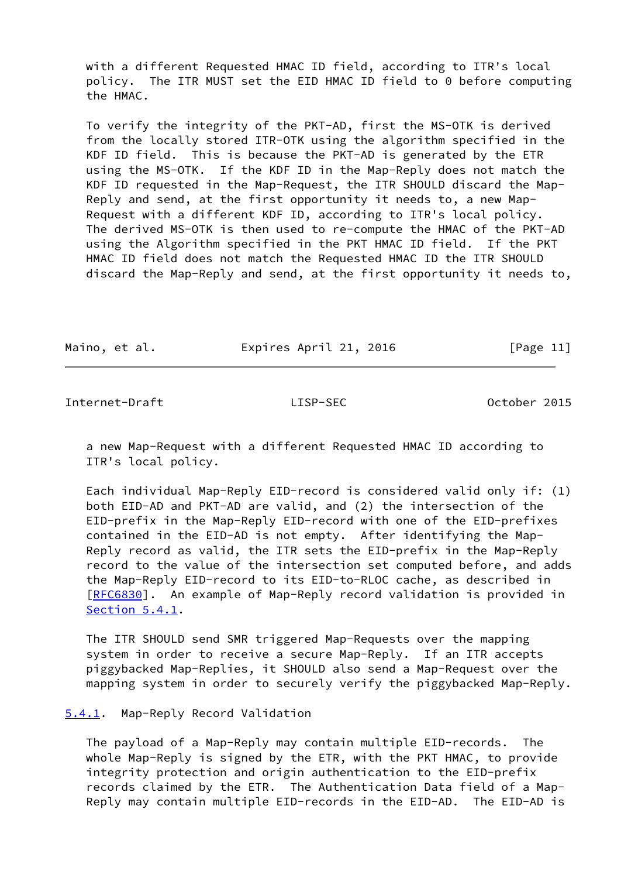with a different Requested HMAC ID field, according to ITR's local policy. The ITR MUST set the EID HMAC ID field to 0 before computing the HMAC.

 To verify the integrity of the PKT-AD, first the MS-OTK is derived from the locally stored ITR-OTK using the algorithm specified in the KDF ID field. This is because the PKT-AD is generated by the ETR using the MS-OTK. If the KDF ID in the Map-Reply does not match the KDF ID requested in the Map-Request, the ITR SHOULD discard the Map- Reply and send, at the first opportunity it needs to, a new Map- Request with a different KDF ID, according to ITR's local policy. The derived MS-OTK is then used to re-compute the HMAC of the PKT-AD using the Algorithm specified in the PKT HMAC ID field. If the PKT HMAC ID field does not match the Requested HMAC ID the ITR SHOULD discard the Map-Reply and send, at the first opportunity it needs to,

Maino, et al. Expires April 21, 2016 [Page 11]

<span id="page-12-1"></span>Internet-Draft LISP-SEC October 2015

 a new Map-Request with a different Requested HMAC ID according to ITR's local policy.

 Each individual Map-Reply EID-record is considered valid only if: (1) both EID-AD and PKT-AD are valid, and (2) the intersection of the EID-prefix in the Map-Reply EID-record with one of the EID-prefixes contained in the EID-AD is not empty. After identifying the Map- Reply record as valid, the ITR sets the EID-prefix in the Map-Reply record to the value of the intersection set computed before, and adds the Map-Reply EID-record to its EID-to-RLOC cache, as described in [\[RFC6830](https://datatracker.ietf.org/doc/pdf/rfc6830)]. An example of Map-Reply record validation is provided in [Section 5.4.1](#page-12-0).

 The ITR SHOULD send SMR triggered Map-Requests over the mapping system in order to receive a secure Map-Reply. If an ITR accepts piggybacked Map-Replies, it SHOULD also send a Map-Request over the mapping system in order to securely verify the piggybacked Map-Reply.

# <span id="page-12-0"></span>[5.4.1](#page-12-0). Map-Reply Record Validation

 The payload of a Map-Reply may contain multiple EID-records. The whole Map-Reply is signed by the ETR, with the PKT HMAC, to provide integrity protection and origin authentication to the EID-prefix records claimed by the ETR. The Authentication Data field of a Map- Reply may contain multiple EID-records in the EID-AD. The EID-AD is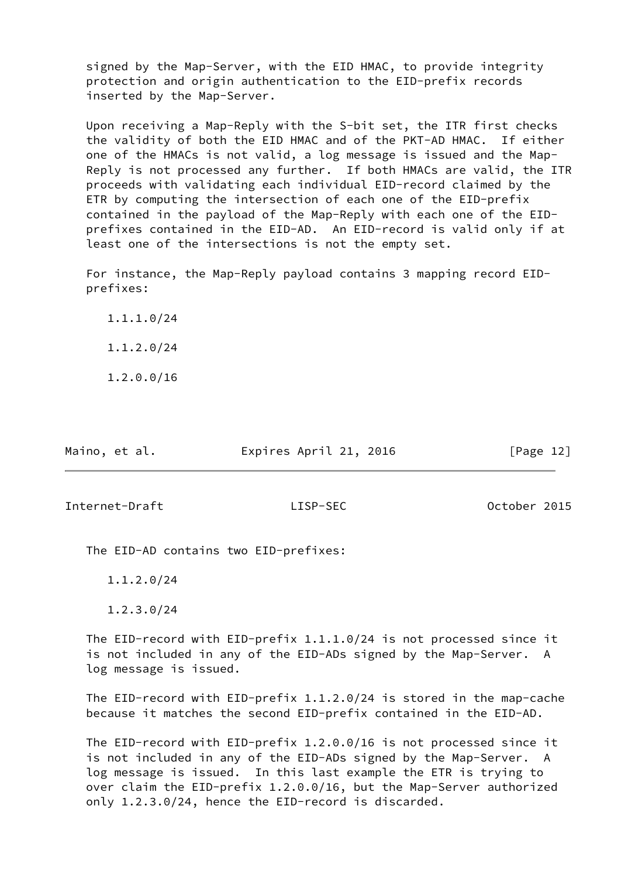signed by the Map-Server, with the EID HMAC, to provide integrity protection and origin authentication to the EID-prefix records inserted by the Map-Server.

 Upon receiving a Map-Reply with the S-bit set, the ITR first checks the validity of both the EID HMAC and of the PKT-AD HMAC. If either one of the HMACs is not valid, a log message is issued and the Map- Reply is not processed any further. If both HMACs are valid, the ITR proceeds with validating each individual EID-record claimed by the ETR by computing the intersection of each one of the EID-prefix contained in the payload of the Map-Reply with each one of the EID prefixes contained in the EID-AD. An EID-record is valid only if at least one of the intersections is not the empty set.

 For instance, the Map-Reply payload contains 3 mapping record EID prefixes:

 1.1.1.0/24 1.1.2.0/24

1.2.0.0/16

| Maino, et al. | Expires April 21, 2016 | [Page 12] |
|---------------|------------------------|-----------|
|               |                        |           |

<span id="page-13-0"></span>Internet-Draft LISP-SEC October 2015

The EID-AD contains two EID-prefixes:

1.1.2.0/24

1.2.3.0/24

 The EID-record with EID-prefix 1.1.1.0/24 is not processed since it is not included in any of the EID-ADs signed by the Map-Server. A log message is issued.

 The EID-record with EID-prefix 1.1.2.0/24 is stored in the map-cache because it matches the second EID-prefix contained in the EID-AD.

 The EID-record with EID-prefix 1.2.0.0/16 is not processed since it is not included in any of the EID-ADs signed by the Map-Server. A log message is issued. In this last example the ETR is trying to over claim the EID-prefix 1.2.0.0/16, but the Map-Server authorized only 1.2.3.0/24, hence the EID-record is discarded.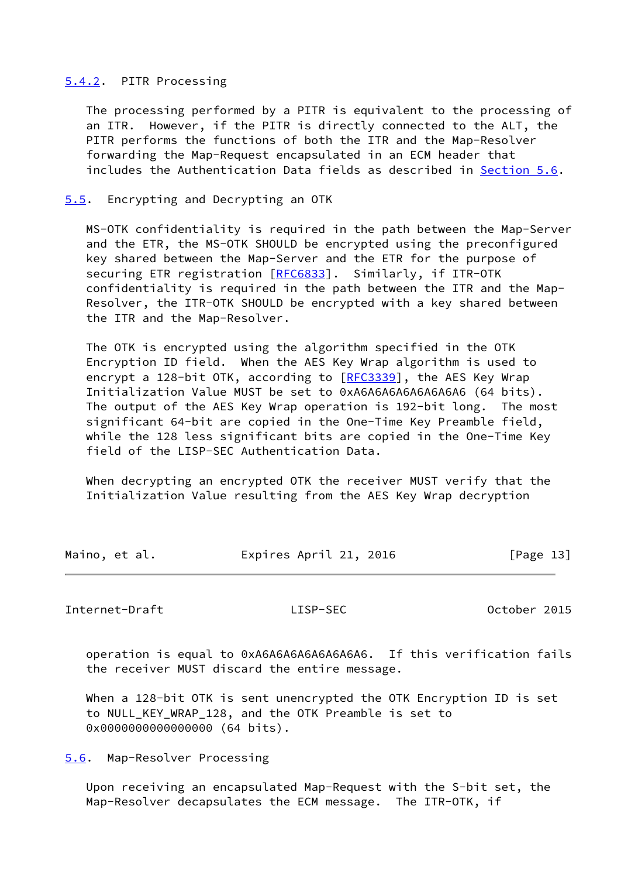# <span id="page-14-0"></span>[5.4.2](#page-14-0). PITR Processing

 The processing performed by a PITR is equivalent to the processing of an ITR. However, if the PITR is directly connected to the ALT, the PITR performs the functions of both the ITR and the Map-Resolver forwarding the Map-Request encapsulated in an ECM header that includes the Authentication Data fields as described in [Section 5.6](#page-14-2).

## <span id="page-14-1"></span>[5.5](#page-14-1). Encrypting and Decrypting an OTK

 MS-OTK confidentiality is required in the path between the Map-Server and the ETR, the MS-OTK SHOULD be encrypted using the preconfigured key shared between the Map-Server and the ETR for the purpose of securing ETR registration [[RFC6833](https://datatracker.ietf.org/doc/pdf/rfc6833)]. Similarly, if ITR-OTK confidentiality is required in the path between the ITR and the Map- Resolver, the ITR-OTK SHOULD be encrypted with a key shared between the ITR and the Map-Resolver.

 The OTK is encrypted using the algorithm specified in the OTK Encryption ID field. When the AES Key Wrap algorithm is used to encrypt a 128-bit OTK, according to [\[RFC3339](https://datatracker.ietf.org/doc/pdf/rfc3339)], the AES Key Wrap Initialization Value MUST be set to 0xA6A6A6A6A6A6A6A6 (64 bits). The output of the AES Key Wrap operation is 192-bit long. The most significant 64-bit are copied in the One-Time Key Preamble field, while the 128 less significant bits are copied in the One-Time Key field of the LISP-SEC Authentication Data.

 When decrypting an encrypted OTK the receiver MUST verify that the Initialization Value resulting from the AES Key Wrap decryption

| Maino, et al. | Expires April 21, 2016 | [Page 13] |
|---------------|------------------------|-----------|
|               |                        |           |

<span id="page-14-3"></span>Internet-Draft LISP-SEC October 2015

 operation is equal to 0xA6A6A6A6A6A6A6A6. If this verification fails the receiver MUST discard the entire message.

 When a 128-bit OTK is sent unencrypted the OTK Encryption ID is set to NULL\_KEY\_WRAP\_128, and the OTK Preamble is set to 0x00000000000000000 (64 bits).

<span id="page-14-2"></span>[5.6](#page-14-2). Map-Resolver Processing

 Upon receiving an encapsulated Map-Request with the S-bit set, the Map-Resolver decapsulates the ECM message. The ITR-OTK, if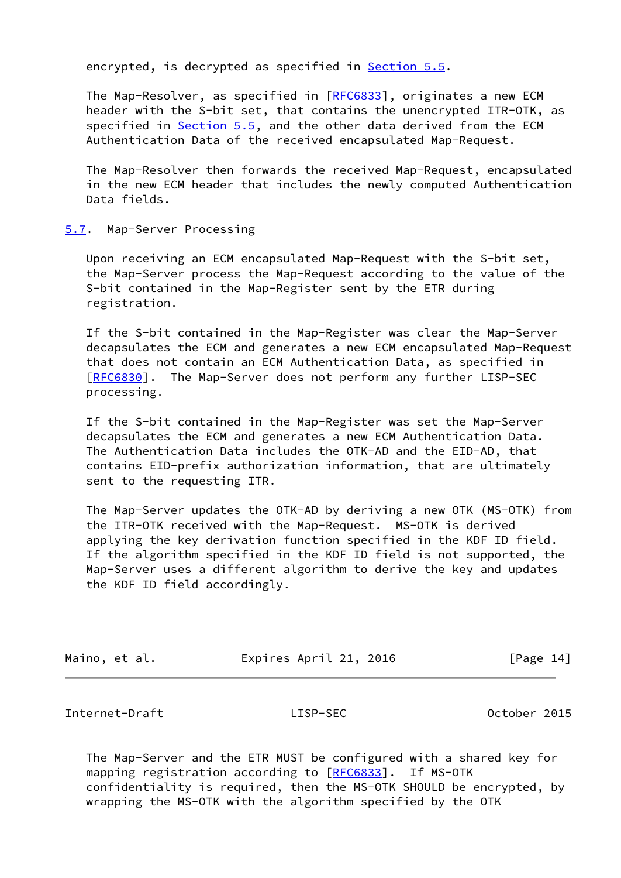encrypted, is decrypted as specified in **Section 5.5**.

 The Map-Resolver, as specified in [[RFC6833](https://datatracker.ietf.org/doc/pdf/rfc6833)], originates a new ECM header with the S-bit set, that contains the unencrypted ITR-OTK, as specified in [Section 5.5](#page-14-1), and the other data derived from the ECM Authentication Data of the received encapsulated Map-Request.

 The Map-Resolver then forwards the received Map-Request, encapsulated in the new ECM header that includes the newly computed Authentication Data fields.

### <span id="page-15-0"></span>[5.7](#page-15-0). Map-Server Processing

 Upon receiving an ECM encapsulated Map-Request with the S-bit set, the Map-Server process the Map-Request according to the value of the S-bit contained in the Map-Register sent by the ETR during registration.

 If the S-bit contained in the Map-Register was clear the Map-Server decapsulates the ECM and generates a new ECM encapsulated Map-Request that does not contain an ECM Authentication Data, as specified in [\[RFC6830](https://datatracker.ietf.org/doc/pdf/rfc6830)]. The Map-Server does not perform any further LISP-SEC processing.

 If the S-bit contained in the Map-Register was set the Map-Server decapsulates the ECM and generates a new ECM Authentication Data. The Authentication Data includes the OTK-AD and the EID-AD, that contains EID-prefix authorization information, that are ultimately sent to the requesting ITR.

 The Map-Server updates the OTK-AD by deriving a new OTK (MS-OTK) from the ITR-OTK received with the Map-Request. MS-OTK is derived applying the key derivation function specified in the KDF ID field. If the algorithm specified in the KDF ID field is not supported, the Map-Server uses a different algorithm to derive the key and updates the KDF ID field accordingly.

| Maino, |  | et al. |
|--------|--|--------|
|--------|--|--------|

Expires April 21, 2016 [Page 14]

<span id="page-15-1"></span>Internet-Draft LISP-SEC October 2015

 The Map-Server and the ETR MUST be configured with a shared key for mapping registration according to [[RFC6833](https://datatracker.ietf.org/doc/pdf/rfc6833)]. If MS-OTK confidentiality is required, then the MS-OTK SHOULD be encrypted, by wrapping the MS-OTK with the algorithm specified by the OTK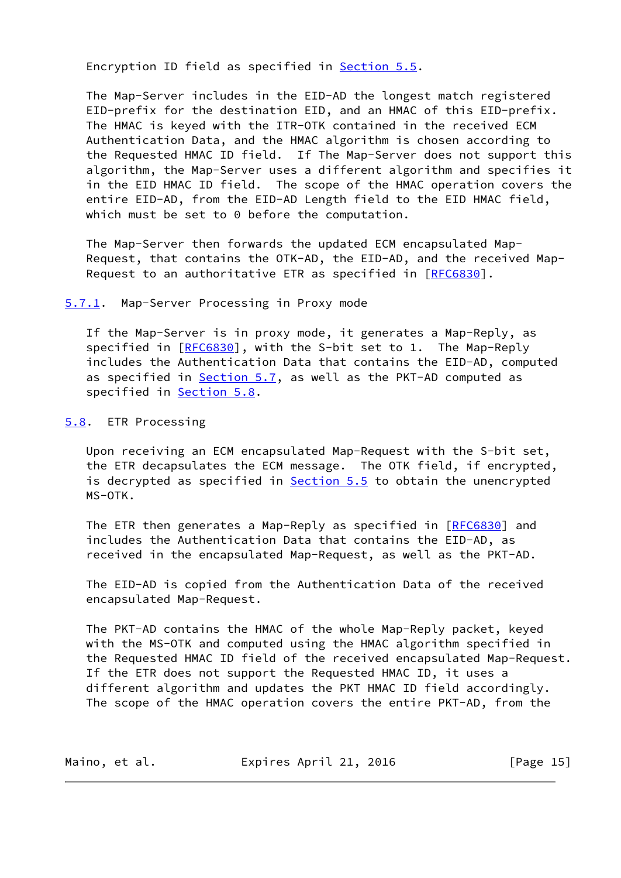Encryption ID field as specified in [Section 5.5.](#page-14-1)

 The Map-Server includes in the EID-AD the longest match registered EID-prefix for the destination EID, and an HMAC of this EID-prefix. The HMAC is keyed with the ITR-OTK contained in the received ECM Authentication Data, and the HMAC algorithm is chosen according to the Requested HMAC ID field. If The Map-Server does not support this algorithm, the Map-Server uses a different algorithm and specifies it in the EID HMAC ID field. The scope of the HMAC operation covers the entire EID-AD, from the EID-AD Length field to the EID HMAC field, which must be set to 0 before the computation.

 The Map-Server then forwards the updated ECM encapsulated Map- Request, that contains the OTK-AD, the EID-AD, and the received Map- Request to an authoritative ETR as specified in [\[RFC6830](https://datatracker.ietf.org/doc/pdf/rfc6830)].

<span id="page-16-0"></span>[5.7.1](#page-16-0). Map-Server Processing in Proxy mode

 If the Map-Server is in proxy mode, it generates a Map-Reply, as specified in [\[RFC6830](https://datatracker.ietf.org/doc/pdf/rfc6830)], with the S-bit set to 1. The Map-Reply includes the Authentication Data that contains the EID-AD, computed as specified in [Section 5.7](#page-15-0), as well as the PKT-AD computed as specified in **Section 5.8.** 

<span id="page-16-1"></span>[5.8](#page-16-1). ETR Processing

 Upon receiving an ECM encapsulated Map-Request with the S-bit set, the ETR decapsulates the ECM message. The OTK field, if encrypted, is decrypted as specified in **Section 5.5** to obtain the unencrypted MS-OTK.

The ETR then generates a Map-Reply as specified in [[RFC6830\]](https://datatracker.ietf.org/doc/pdf/rfc6830) and includes the Authentication Data that contains the EID-AD, as received in the encapsulated Map-Request, as well as the PKT-AD.

 The EID-AD is copied from the Authentication Data of the received encapsulated Map-Request.

 The PKT-AD contains the HMAC of the whole Map-Reply packet, keyed with the MS-OTK and computed using the HMAC algorithm specified in the Requested HMAC ID field of the received encapsulated Map-Request. If the ETR does not support the Requested HMAC ID, it uses a different algorithm and updates the PKT HMAC ID field accordingly. The scope of the HMAC operation covers the entire PKT-AD, from the

| Maino, et al. | Expires April 21, 2016 | [Page 15] |
|---------------|------------------------|-----------|
|---------------|------------------------|-----------|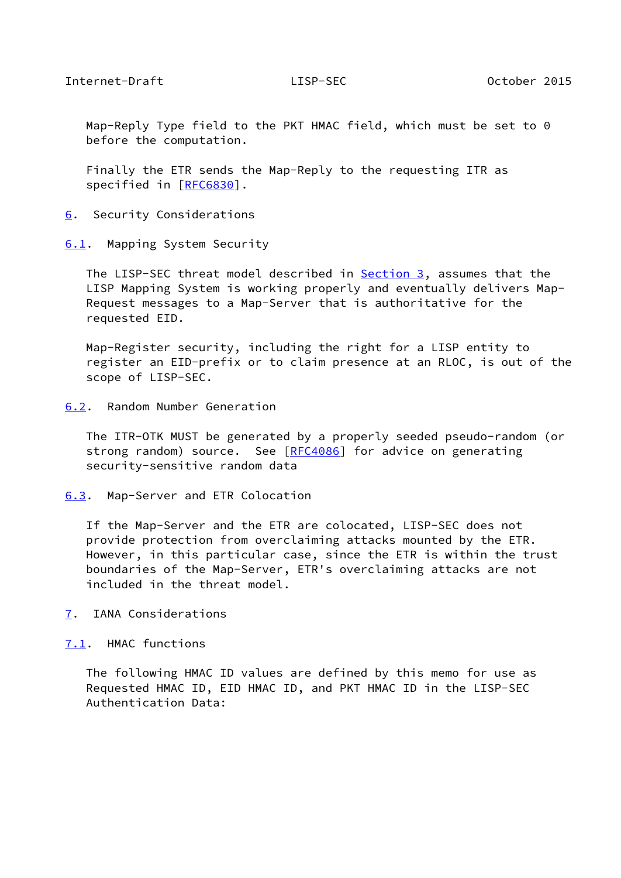<span id="page-17-1"></span> Map-Reply Type field to the PKT HMAC field, which must be set to 0 before the computation.

 Finally the ETR sends the Map-Reply to the requesting ITR as specified in [\[RFC6830](https://datatracker.ietf.org/doc/pdf/rfc6830)].

<span id="page-17-0"></span>[6](#page-17-0). Security Considerations

<span id="page-17-2"></span>[6.1](#page-17-2). Mapping System Security

The LISP-SEC threat model described in **Section 3**, assumes that the LISP Mapping System is working properly and eventually delivers Map- Request messages to a Map-Server that is authoritative for the requested EID.

 Map-Register security, including the right for a LISP entity to register an EID-prefix or to claim presence at an RLOC, is out of the scope of LISP-SEC.

<span id="page-17-3"></span>[6.2](#page-17-3). Random Number Generation

 The ITR-OTK MUST be generated by a properly seeded pseudo-random (or strong random) source. See [\[RFC4086](https://datatracker.ietf.org/doc/pdf/rfc4086)] for advice on generating security-sensitive random data

<span id="page-17-4"></span>[6.3](#page-17-4). Map-Server and ETR Colocation

 If the Map-Server and the ETR are colocated, LISP-SEC does not provide protection from overclaiming attacks mounted by the ETR. However, in this particular case, since the ETR is within the trust boundaries of the Map-Server, ETR's overclaiming attacks are not included in the threat model.

<span id="page-17-5"></span>[7](#page-17-5). IANA Considerations

<span id="page-17-6"></span>[7.1](#page-17-6). HMAC functions

 The following HMAC ID values are defined by this memo for use as Requested HMAC ID, EID HMAC ID, and PKT HMAC ID in the LISP-SEC Authentication Data: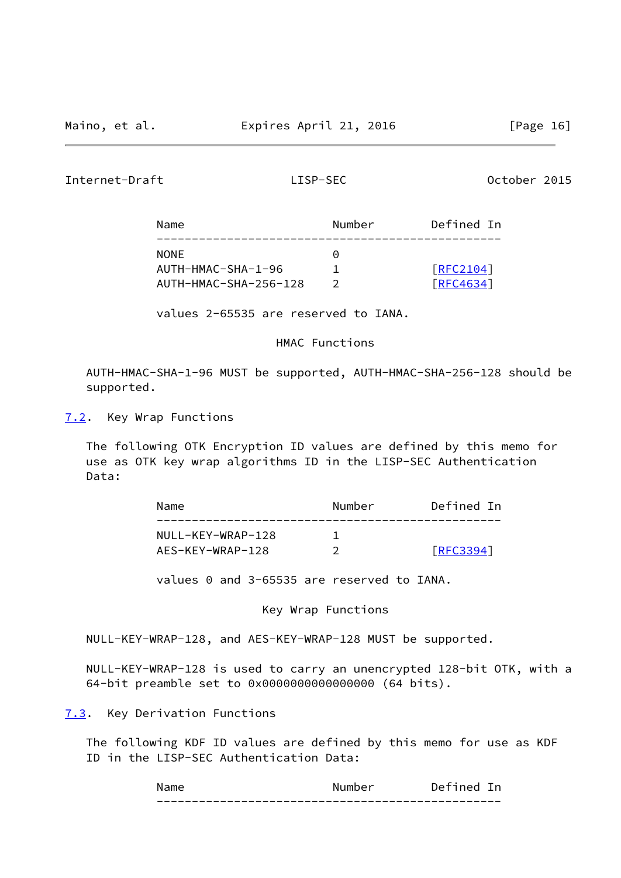<span id="page-18-1"></span>Internet-Draft LISP-SEC October 2015

| Name                  | Number    | Defined In |
|-----------------------|-----------|------------|
| <b>NONE</b>           | $(\cdot)$ |            |
| AUTH-HMAC-SHA-1-96    |           | [REC2104]  |
| AUTH-HMAC-SHA-256-128 |           | [RFC4634]  |

values 2-65535 are reserved to IANA.

HMAC Functions

 AUTH-HMAC-SHA-1-96 MUST be supported, AUTH-HMAC-SHA-256-128 should be supported.

<span id="page-18-0"></span>[7.2](#page-18-0). Key Wrap Functions

 The following OTK Encryption ID values are defined by this memo for use as OTK key wrap algorithms ID in the LISP-SEC Authentication Data:

| Name              | Number | Defined In      |
|-------------------|--------|-----------------|
| NULL-KEY-WRAP-128 |        |                 |
| AES-KEY-WRAP-128  |        | <b>FRFC3394</b> |

values 0 and 3-65535 are reserved to IANA.

Key Wrap Functions

NULL-KEY-WRAP-128, and AES-KEY-WRAP-128 MUST be supported.

 NULL-KEY-WRAP-128 is used to carry an unencrypted 128-bit OTK, with a 64-bit preamble set to 0x0000000000000000 (64 bits).

<span id="page-18-2"></span>[7.3](#page-18-2). Key Derivation Functions

 The following KDF ID values are defined by this memo for use as KDF ID in the LISP-SEC Authentication Data:

| ım⊆<br>N                                                   | าคr<br>∣ım h<br>N.                    | - در                                 |
|------------------------------------------------------------|---------------------------------------|--------------------------------------|
| $\overline{\phantom{a}}$<br>_ _ _ _ _ _ _ _ _ _ _ _<br>___ | _ _ _ _ _ _ _ _<br>_ _ _ _ _ _<br>___ | ___<br>_ _ _ _ _ _ _ _ _ _ _ _ _ _ _ |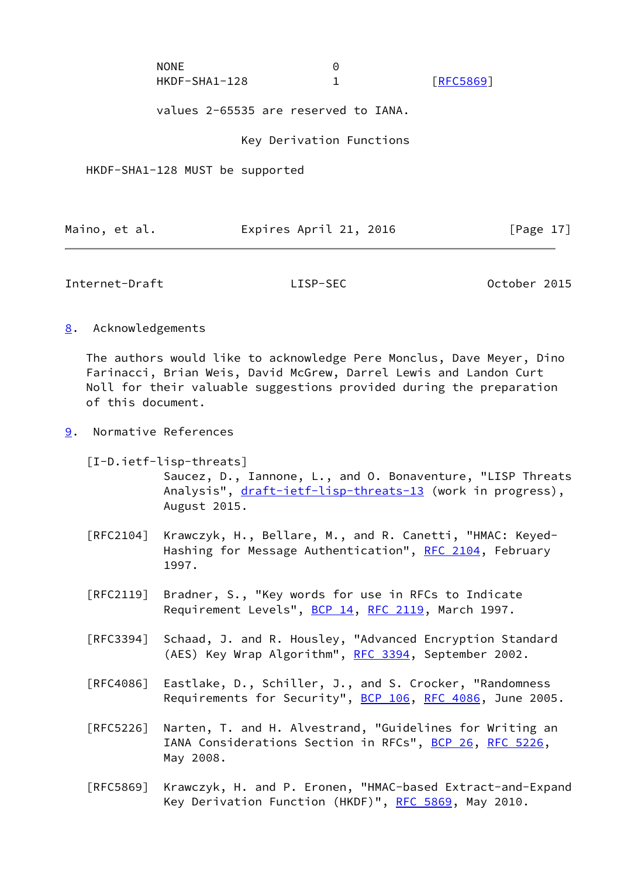| <b>NONE</b>   |                  |
|---------------|------------------|
| HKDF-SHA1-128 | <b>FRFC58691</b> |

values 2-65535 are reserved to IANA.

Key Derivation Functions

HKDF-SHA1-128 MUST be supported

| Expires April 21, 2016<br>[Page 17]<br>Maino, et al. |  |
|------------------------------------------------------|--|
|------------------------------------------------------|--|

<span id="page-19-1"></span>Internet-Draft LISP-SEC October 2015

<span id="page-19-0"></span>[8](#page-19-0). Acknowledgements

 The authors would like to acknowledge Pere Monclus, Dave Meyer, Dino Farinacci, Brian Weis, David McGrew, Darrel Lewis and Landon Curt Noll for their valuable suggestions provided during the preparation of this document.

<span id="page-19-2"></span>[9](#page-19-2). Normative References

<span id="page-19-3"></span> [I-D.ietf-lisp-threats] Saucez, D., Iannone, L., and O. Bonaventure, "LISP Threats Analysis", [draft-ietf-lisp-threats-13](https://datatracker.ietf.org/doc/pdf/draft-ietf-lisp-threats-13) (work in progress), August 2015.

- [RFC2104] Krawczyk, H., Bellare, M., and R. Canetti, "HMAC: Keyed- Hashing for Message Authentication", [RFC 2104](https://datatracker.ietf.org/doc/pdf/rfc2104), February 1997.
- [RFC2119] Bradner, S., "Key words for use in RFCs to Indicate Requirement Levels", [BCP 14](https://datatracker.ietf.org/doc/pdf/bcp14), [RFC 2119](https://datatracker.ietf.org/doc/pdf/rfc2119), March 1997.
- [RFC3394] Schaad, J. and R. Housley, "Advanced Encryption Standard (AES) Key Wrap Algorithm", [RFC 3394](https://datatracker.ietf.org/doc/pdf/rfc3394), September 2002.
- [RFC4086] Eastlake, D., Schiller, J., and S. Crocker, "Randomness Requirements for Security", [BCP 106](https://datatracker.ietf.org/doc/pdf/bcp106), [RFC 4086](https://datatracker.ietf.org/doc/pdf/rfc4086), June 2005.
- [RFC5226] Narten, T. and H. Alvestrand, "Guidelines for Writing an IANA Considerations Section in RFCs", [BCP 26](https://datatracker.ietf.org/doc/pdf/bcp26), [RFC 5226](https://datatracker.ietf.org/doc/pdf/rfc5226), May 2008.
- [RFC5869] Krawczyk, H. and P. Eronen, "HMAC-based Extract-and-Expand Key Derivation Function (HKDF)", [RFC 5869,](https://datatracker.ietf.org/doc/pdf/rfc5869) May 2010.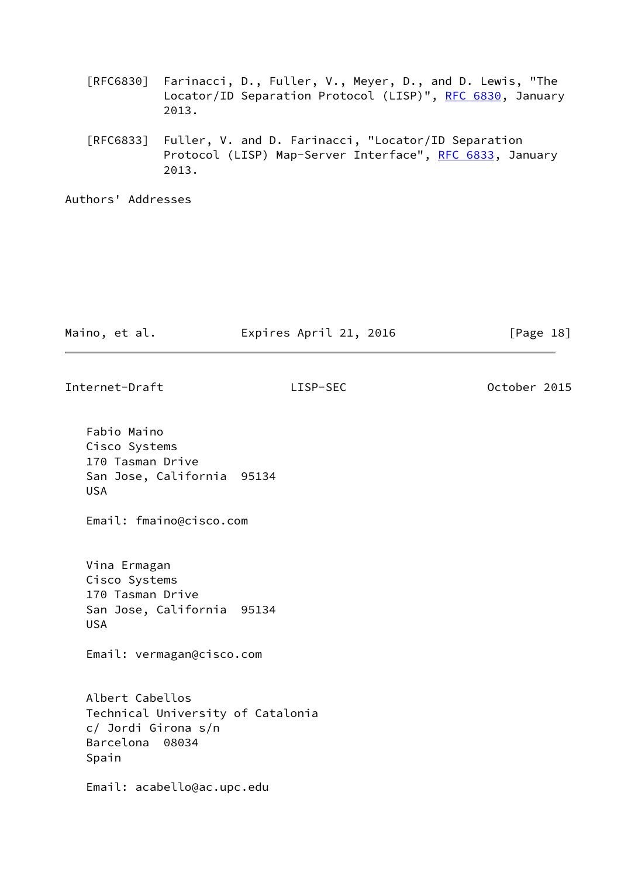- [RFC6830] Farinacci, D., Fuller, V., Meyer, D., and D. Lewis, "The Locator/ID Separation Protocol (LISP)", [RFC 6830,](https://datatracker.ietf.org/doc/pdf/rfc6830) January 2013.
- [RFC6833] Fuller, V. and D. Farinacci, "Locator/ID Separation Protocol (LISP) Map-Server Interface", [RFC 6833](https://datatracker.ietf.org/doc/pdf/rfc6833), January 2013.

Authors' Addresses

| Maino, et al. | Expires April 21, 2016 | [Page 18] |
|---------------|------------------------|-----------|
|               |                        |           |

Internet-Draft LISP-SEC October 2015

 Fabio Maino Cisco Systems 170 Tasman Drive San Jose, California 95134 USA Email: fmaino@cisco.com Vina Ermagan Cisco Systems 170 Tasman Drive San Jose, California 95134 USA Email: vermagan@cisco.com Albert Cabellos Technical University of Catalonia c/ Jordi Girona s/n Barcelona 08034 Spain Email: acabello@ac.upc.edu